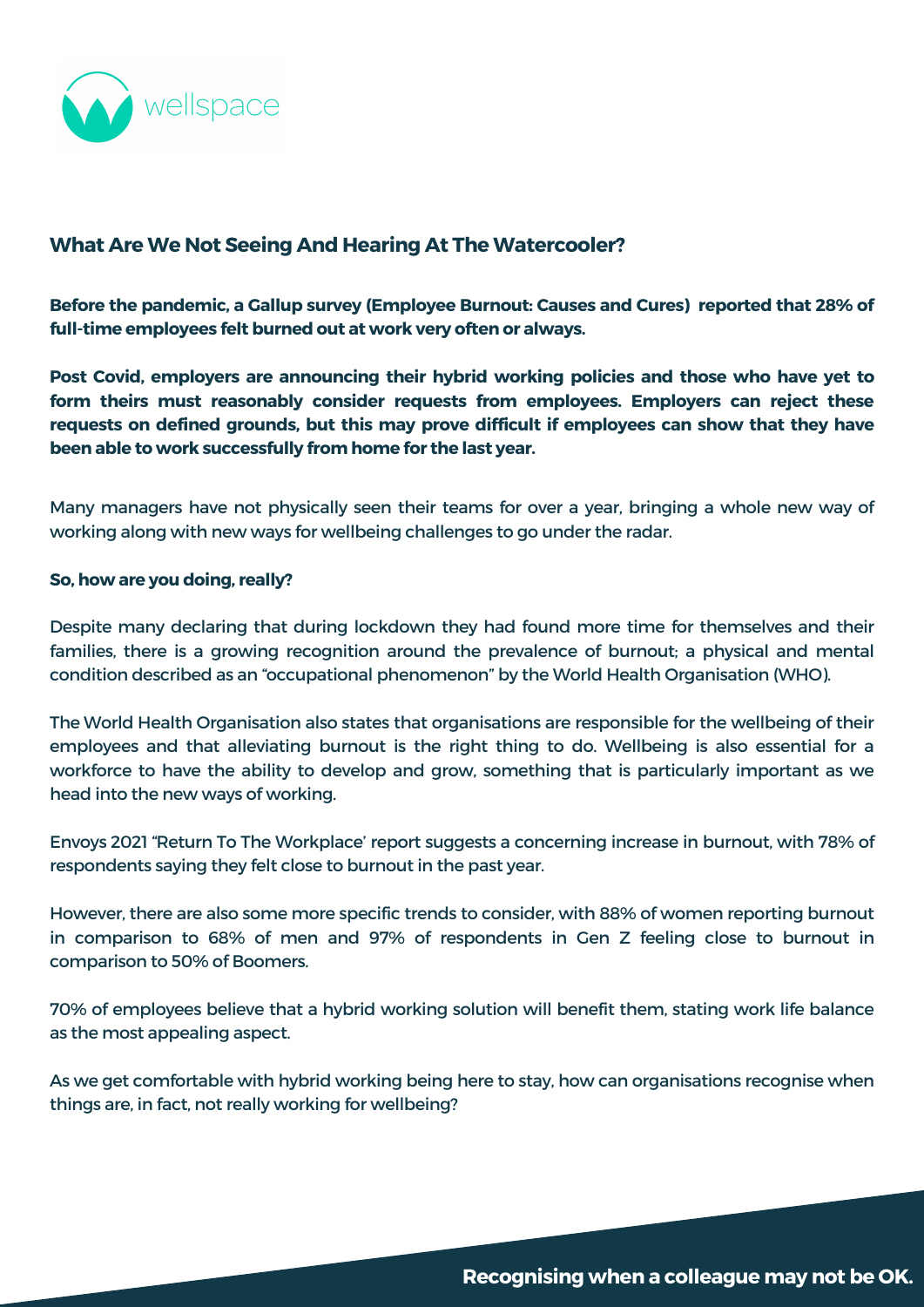

# **What Are We Not Seeing And Hearing At The Watercooler?**

**Before the pandemic, a Gallup survey [\(Employee](https://www.gallup.com/workplace/282659/employee-burnout-perspective-paper.aspx) Burnout: Causes and Cures) reported that 28% of full-time employees felt burned out at work very often or always.**

**TheChallenges form theirs must reasonably consider requests from employees. Employers can reject these Post Covid, employers are announcing their hybrid working policies and those who have yet to requests on defined grounds, but this may prove difficult if employees can show that they have been able to work successfully from home for the last year.**

Many managers have not physically seen their teams for over a year, bringing a whole new way of working along with new ways for wellbeing challenges to go under the radar.

#### **So, how are you doing, really?**

Despite many declaring that during lockdown they had found more time for themselves and their families, there is a growing recognition around the prevalence of burnout; a physical and mental condition described as an "occupational phenomenon" by the World Health [Organisation](https://www.who.int/news/item/28-05-2019-burn-out-an-occupational-phenomenon-international-classification-of-diseases) (WHO).

The World Health [Organisation](https://www.who.int/news/item/28-05-2019-burn-out-an-occupational-phenomenon-international-classification-of-diseases) also states that organisations are responsible for the wellbeing of their employees and that alleviating burnout is the right thing to do. Wellbeing is also essential for a workforce to have the ability to develop and grow, something that is particularly important as we head into the new ways of working.

Envoys 2021 "Return To The [Workplace'](https://envoy.com/blog/envoy-survey-finds-hybrid-work-improves-mental-health-for-uk-workers/) report suggests a concerning increase in burnout, with 78% of respondents saying they felt close to burnout in the past year.

However, there are also some more specific trends to consider, with 88% of women reporting burnout in comparison to 68% of men and 97% of respondents in Gen Z feeling close to burnout in comparison to 50% of Boomers.

70% of employees believe that a hybrid working solution will benefit them, stating work life balance as the most appealing aspect.

As we get comfortable with hybrid working being here to stay, how can organisations recognise when things are, in fact, not really working for wellbeing?

Recognising when a colleague may not be OK.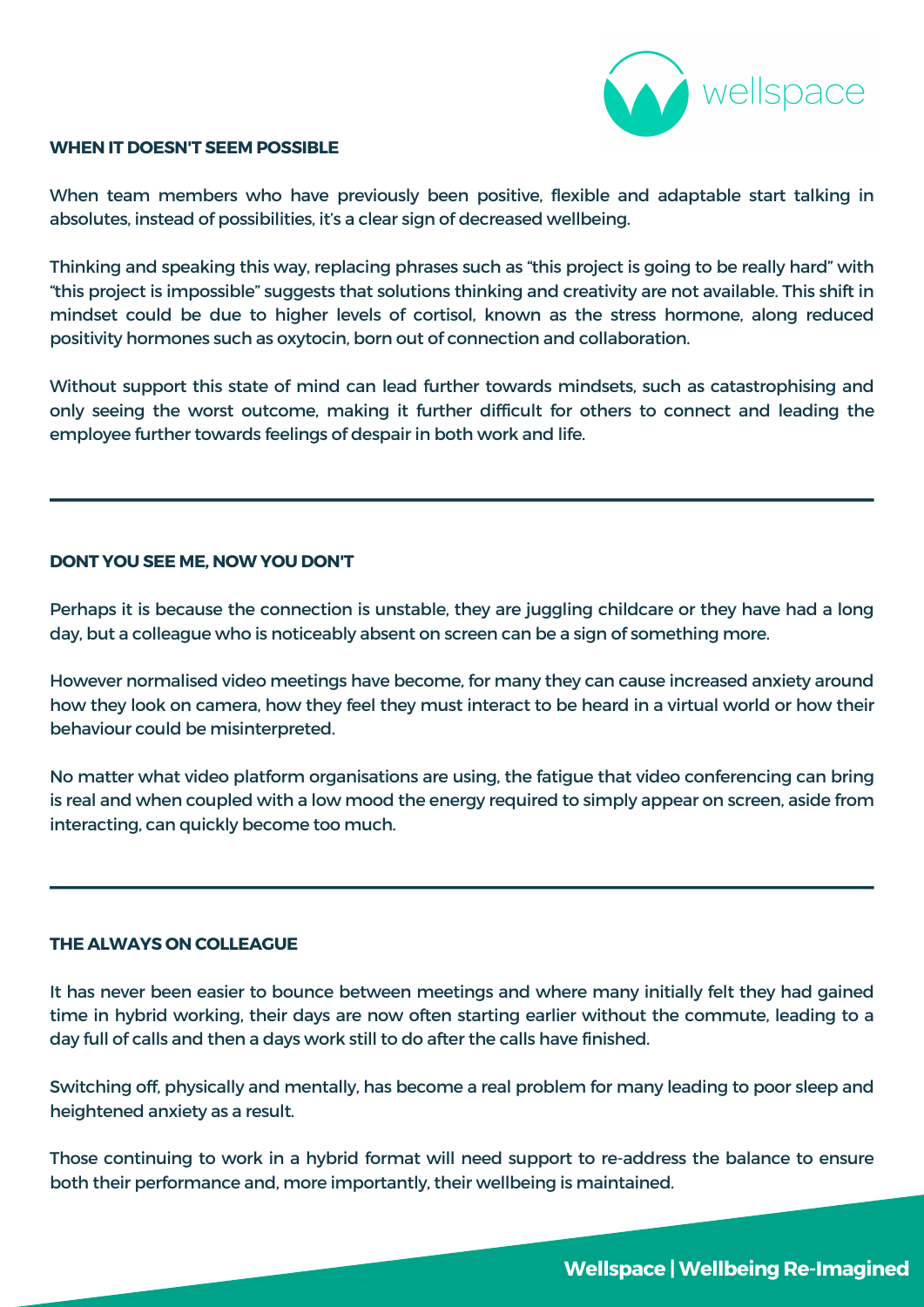## **DONT YOU SEE ME, NOW YOU DON'T**

Perhaps it is because the connection is unstable, they are juggling childcare or they have had a long day, but a colleague who is noticeably absent on screen can be a sign of something more.

However normalised video meetings have become, for many they can cause increased anxiety around

how they look on camera, how they feel they must interact to be heard in a virtual world or how their behaviour could be misinterpreted.

No matter what video platform organisations are using, the fatigue that video conferencing can bring is real and when coupled with a low mood the energy required to simply appear on screen, aside from interacting, can quickly become too much.

### **THE ALWAYS ON COLLEAGUE**

It has never been easier to bounce between meetings and where many initially felt they had gained time in hybrid working, their days are now often starting earlier without the commute, leading to a day full of calls and then a days work still to do after the calls have finished.

Switching off, physically and mentally, has become a real problem for many leading to poor sleep and heightened anxiety as a result.

Those continuing to work in a hybrid format will need support to re-address the balance to ensure both their performance and, more importantly, their wellbeing is maintained.

## **Wellspace |Wellbeing Re-Imagined**



#### **WHEN IT DOESN'T SEEM POSSIBLE**

When team members who have previously been positive, flexible and adaptable start talking in absolutes, instead of possibilities, it's a clear sign of decreased wellbeing.

Thinking and speaking this way, replacing phrases such as "this project is going to be really hard" with "this project is impossible" suggests that solutions thinking and creativity are not available. This shift in mindset could be due to higher levels of cortisol, known as the stress hormone, along reduced positivity hormones such as oxytocin, born out of connection and collaboration.

Without support this state of mind can lead further towards mindsets, such as catastrophising and only seeing the worst outcome, making it further difficult for others to connect and leading the employee further towards feelings of despair in both work and life.